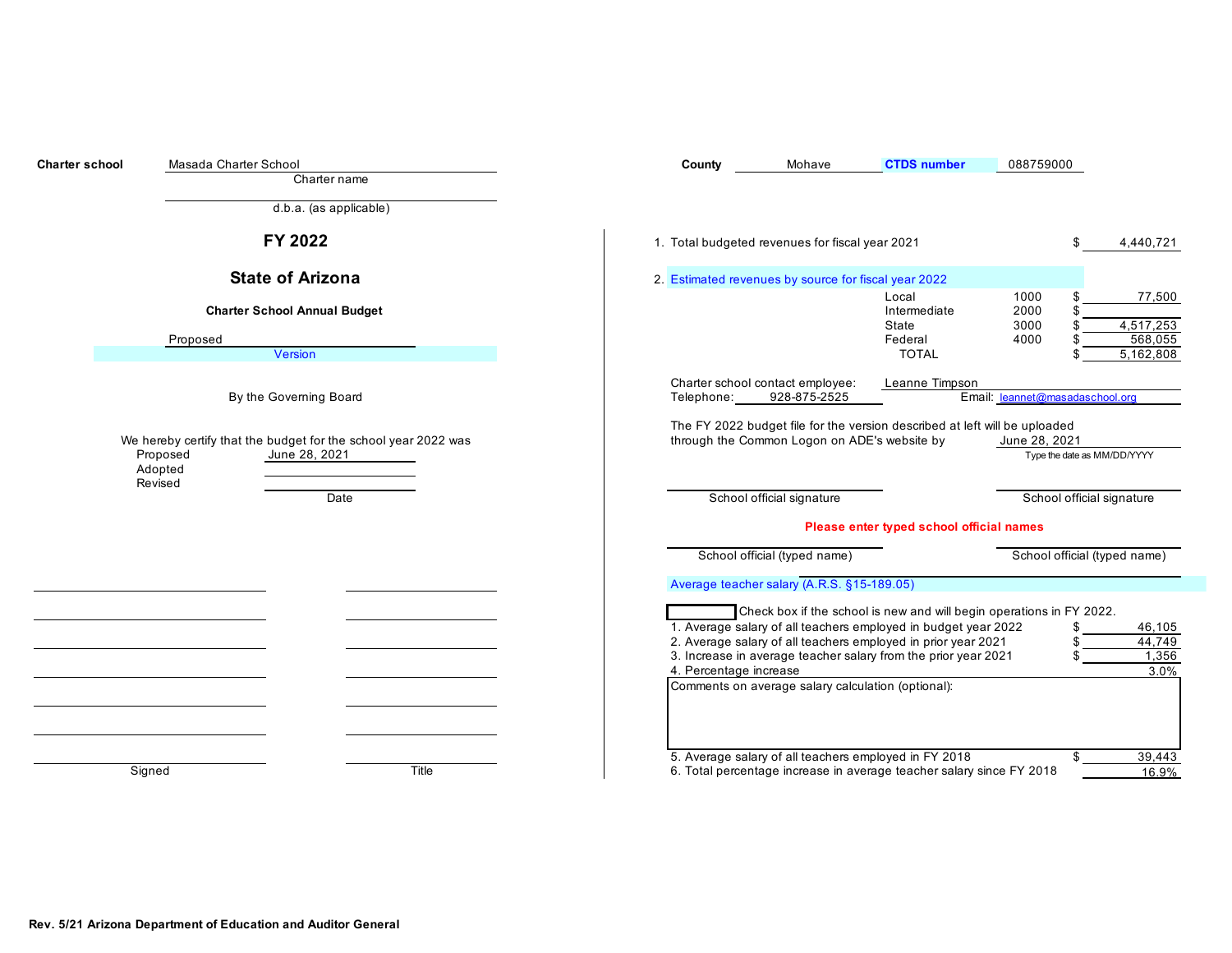| <b>Charter school</b> | Masada Charter School<br>Charter name                                                                             | County                                         | Mohave                                               | <b>CTDS</b> number                                                                                                                                                                                | 088759000                       |                                             |
|-----------------------|-------------------------------------------------------------------------------------------------------------------|------------------------------------------------|------------------------------------------------------|---------------------------------------------------------------------------------------------------------------------------------------------------------------------------------------------------|---------------------------------|---------------------------------------------|
|                       | d.b.a. (as applicable)                                                                                            |                                                |                                                      |                                                                                                                                                                                                   |                                 |                                             |
|                       | FY 2022                                                                                                           |                                                | 1. Total budgeted revenues for fiscal year 2021      |                                                                                                                                                                                                   | \$.                             | 4,440,721                                   |
|                       | <b>State of Arizona</b>                                                                                           |                                                | 2. Estimated revenues by source for fiscal year 2022 |                                                                                                                                                                                                   |                                 |                                             |
|                       | <b>Charter School Annual Budget</b><br>Proposed<br>Version                                                        |                                                |                                                      | Local<br>Intermediate<br>State<br>Federal<br><b>TOTAL</b>                                                                                                                                         | 1000<br>2000<br>3000<br>4000    | 77,500<br>4,517,253<br>568,055<br>5,162,808 |
|                       | By the Governing Board                                                                                            | Charter school contact employee:<br>Telephone: | 928-875-2525                                         | Leanne Timpson                                                                                                                                                                                    | Email: leannet@masadaschool.org |                                             |
|                       | We hereby certify that the budget for the school year 2022 was<br>June 28, 2021<br>Proposed<br>Adopted<br>Revised |                                                | through the Common Logon on ADE's website by         | The FY 2022 budget file for the version described at left will be uploaded                                                                                                                        | June 28, 2021                   | Type the date as MM/DD/YYYY                 |
|                       | Date                                                                                                              |                                                | School official signature                            |                                                                                                                                                                                                   |                                 | School official signature                   |
|                       |                                                                                                                   |                                                |                                                      | Please enter typed school official names                                                                                                                                                          |                                 |                                             |
|                       |                                                                                                                   |                                                | School official (typed name)                         |                                                                                                                                                                                                   |                                 | School official (typed name)                |
|                       |                                                                                                                   |                                                | Average teacher salary (A.R.S. §15-189.05)           |                                                                                                                                                                                                   |                                 |                                             |
|                       |                                                                                                                   |                                                |                                                      | Check box if the school is new and will begin operations in FY 2022.                                                                                                                              |                                 |                                             |
|                       |                                                                                                                   | 4. Percentage increase                         |                                                      | 1. Average salary of all teachers employed in budget year 2022<br>2. Average salary of all teachers employed in prior year 2021<br>3. Increase in average teacher salary from the prior year 2021 |                                 | 46,105<br>44,749<br>1,356<br>3.0%           |
|                       |                                                                                                                   |                                                | Comments on average salary calculation (optional):   |                                                                                                                                                                                                   |                                 |                                             |
|                       | Title<br>Signed                                                                                                   |                                                |                                                      | 5. Average salary of all teachers employed in FY 2018<br>6. Total percentage increase in average teacher salary since FY 2018                                                                     | \$                              | 39,443<br>16.9%                             |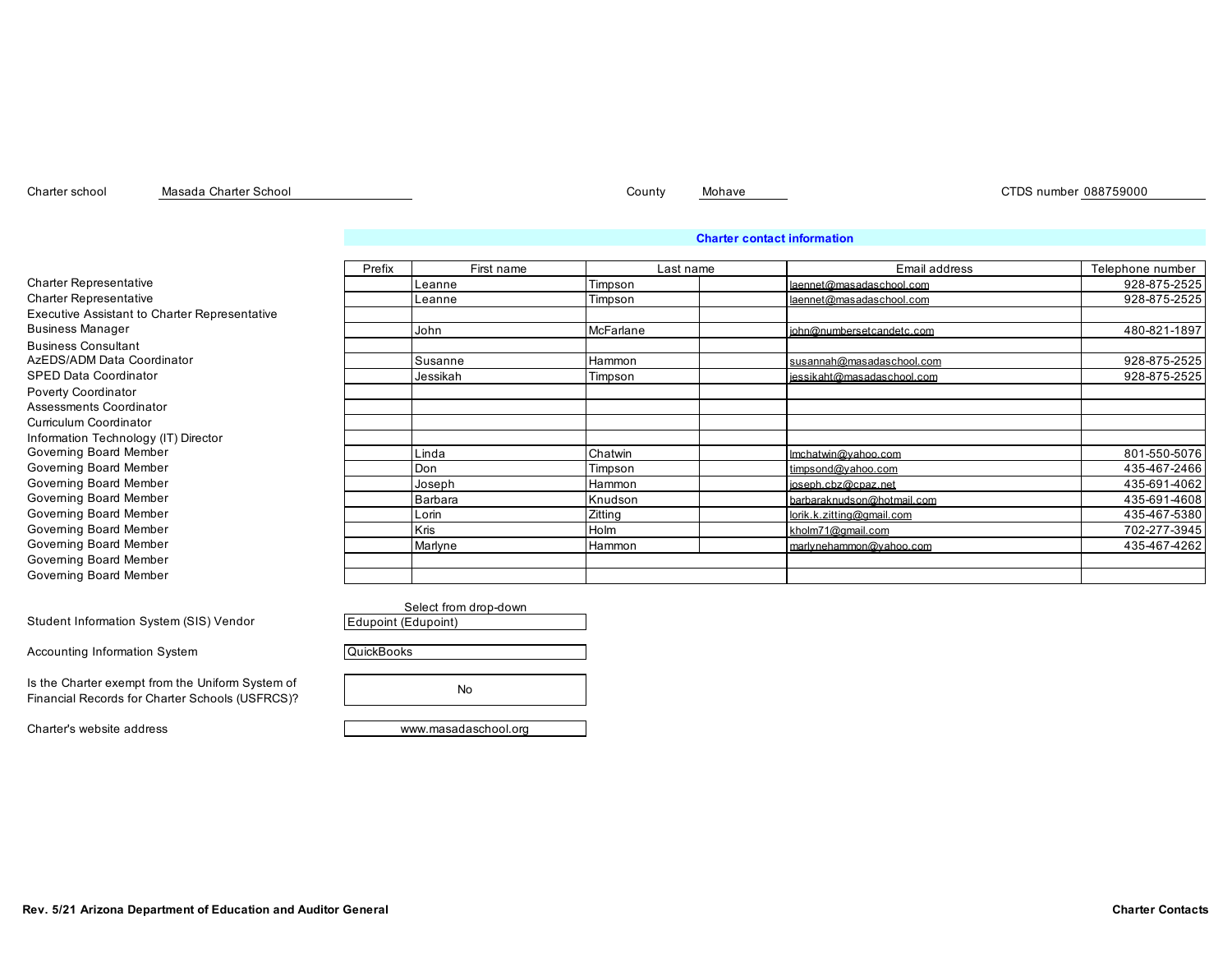Masada Charter School

Charter school Masada Charter School County Mohave County Mohave County Mohave CTDS number 088759000

# **Charter contact information**

|                                                      | Prefix | First name | Last name | Email address              | Telephone number |
|------------------------------------------------------|--------|------------|-----------|----------------------------|------------------|
| <b>Charter Representative</b>                        |        | Leanne     | Timpson   | laennet@masadaschool.com   | 928-875-2525     |
| <b>Charter Representative</b>                        |        | Leanne     | Timpson   | laennet@masadaschool.com   | 928-875-2525     |
| <b>Executive Assistant to Charter Representative</b> |        |            |           |                            |                  |
| <b>Business Manager</b>                              |        | John       | McFarlane | iohn@numbersetcandetc.com  | 480-821-1897     |
| <b>Business Consultant</b>                           |        |            |           |                            |                  |
| AzEDS/ADM Data Coordinator                           |        | Susanne    | Hammon    | susannah@masadaschool.com  | 928-875-2525     |
| <b>SPED Data Coordinator</b>                         |        | Jessikah   | Timpson   | iessikaht@masadaschool.com | 928-875-2525     |
| <b>Poverty Coordinator</b>                           |        |            |           |                            |                  |
| Assessments Coordinator                              |        |            |           |                            |                  |
| Curriculum Coordinator                               |        |            |           |                            |                  |
| Information Technology (IT) Director                 |        |            |           |                            |                  |
| Governing Board Member                               |        | Linda      | Chatwin   | Imchatwin@vahoo.com        | 801-550-5076     |
| Governing Board Member                               |        | Don        | Timpson   | timpsond@vahoo.com         | 435-467-2466     |
| Governing Board Member                               |        | Joseph     | Hammon    | ioseph.cbz@cpaz.net        | 435-691-4062     |
| Governing Board Member                               |        | Barbara    | Knudson   | barbaraknudson@hotmail.com | 435-691-4608     |
| Governing Board Member                               |        | Lorin      | Zitting   | lorik.k.zitting@amail.com  | 435-467-5380     |
| Governing Board Member                               |        | Kris       | Holm      | kholm71@amail.com          | 702-277-3945     |
| Governing Board Member                               |        | Marlyne    | Hammon    | marlynehammon@vahoo.com    | 435-467-4262     |
| Governing Board Member                               |        |            |           |                            |                  |
| Governing Board Member                               |        |            |           |                            |                  |

Student Information System (SIS) Vendor

Accounting Information System

Is the Charter exempt from the Uniform System of Financial Records for Charter Schools (USFRCS)?

Select from drop-down Edupoint (Edupoint) No **QuickBooks** 

Charter's website address www.masadaschool.org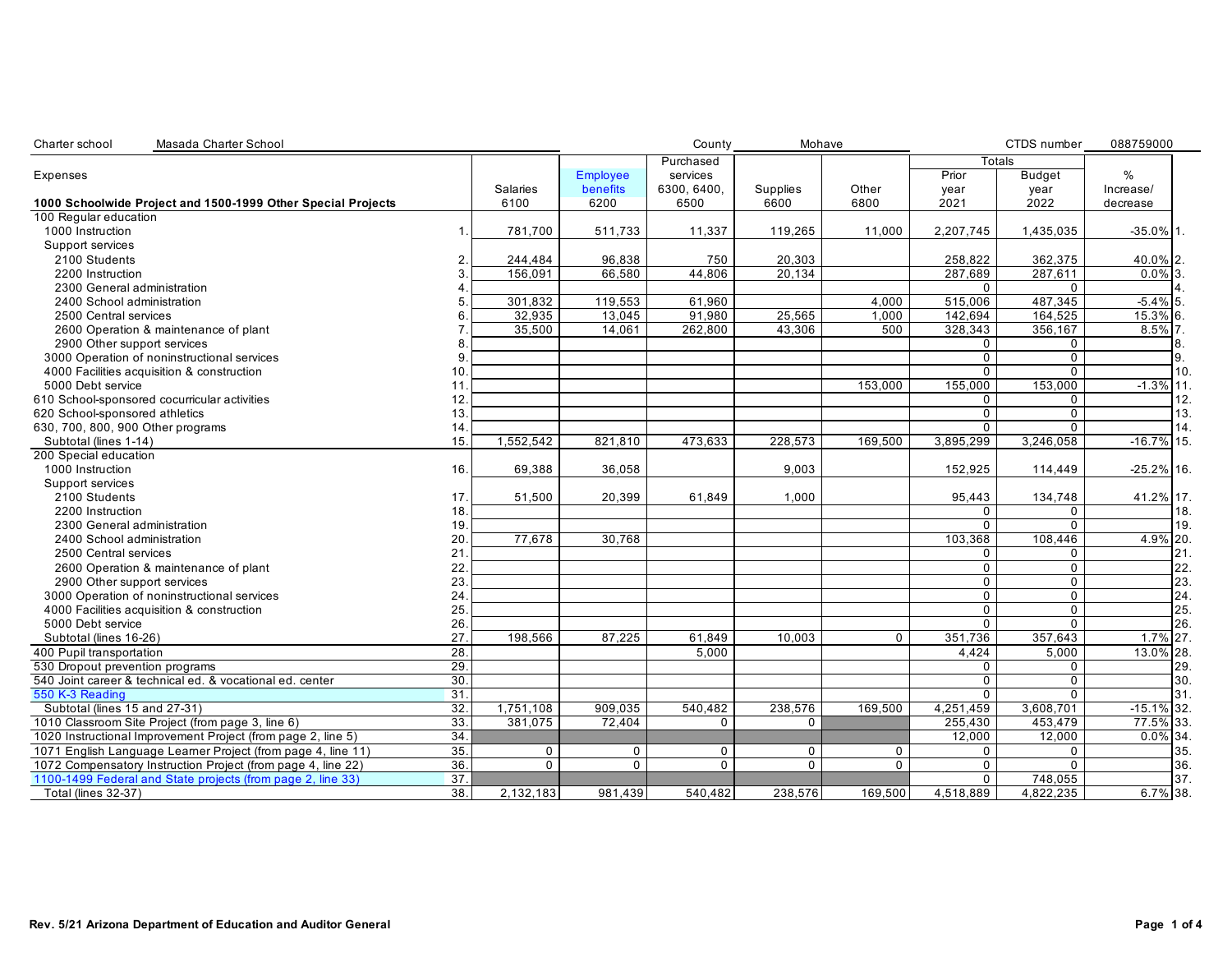| Purchased<br><b>Totals</b><br>$\%$<br>Prior<br><b>Employee</b><br>services<br><b>Budget</b><br>Expenses<br>benefits<br>6300, 6400,<br>Supplies<br>Other<br>Salaries<br>Increase/<br>year<br>year<br>6100<br>6200<br>6500<br>6600<br>6800<br>2021<br>2022<br>decrease<br>1000 Instruction<br>511,733<br>11,337<br>119,265<br>11,000<br>2,207,745<br>1,435,035<br>1<br>781,700<br>Support services<br>2100 Students<br>96,838<br>750<br>20,303<br>362,375<br>$\overline{2}$<br>244,484<br>258,822<br>156,091<br>66,580<br>44.806<br>287,689<br>287.611<br>2200 Instruction<br>20,134<br>3<br>$\Omega$<br>$\Omega$<br>2300 General administration<br>119,553<br>$\overline{515,006}$<br>487.345<br>2400 School administration<br>301,832<br>61,960<br>4,000<br>5<br>32,935<br>13,045<br>91,980<br>25,565<br>142,694<br>164,525<br>1,000<br>2500 Central services<br>6<br>35,500<br>14,061<br>262,800<br>43,306<br>500<br>328,343<br>356,167<br>2600 Operation & maintenance of plant<br>2900 Other support services<br>$\mathbf 0$<br>$\mathbf 0$<br>8<br>$\Omega$<br>$\Omega$<br>3000 Operation of noninstructional services<br>9<br>4000 Facilities acquisition & construction<br>10.<br>$\mathbf 0$<br>$\mathbf{0}$<br>153,000<br>155,000<br>153,000<br>5000 Debt service<br>11<br>12.<br>0<br>0<br>0<br>$\mathbf 0$<br>13.<br>$\overline{0}$<br>$\Omega$<br>14<br>1,552,542<br>473,633<br>228.573<br>169.500<br>3,895,299<br>3,246,058<br>Subtotal (lines 1-14)<br>15.<br>821,810<br>16.<br>1000 Instruction<br>69,388<br>36,058<br>9,003<br>152,925<br>114,449<br>Support services<br>2100 Students<br>17.<br>51,500<br>20,399<br>61,849<br>1,000<br>95,443<br>134,748<br>18.<br>$\mathbf 0$<br>$\mathbf 0$<br>2200 Instruction<br>$\Omega$<br>$\mathbf{0}$<br>19.<br>2300 General administration<br>20.<br>77,678<br>30,768<br>103,368<br>108,446<br>2400 School administration<br>21<br>2500 Central services<br>$\mathbf 0$<br>$\mathbf 0$<br>22.<br>$\Omega$<br>$\mathbf{0}$<br>2600 Operation & maintenance of plant<br>23<br>$\Omega$<br>2900 Other support services<br>$\Omega$<br>24<br>$\mathbf 0$<br>3000 Operation of noninstructional services<br>$\mathbf 0$<br>$\mathbf 0$<br>4000 Facilities acquisition & construction<br>25.<br>$\mathbf 0$<br>$\overline{0}$<br>$\overline{0}$<br>5000 Debt service<br>26.<br>198.566<br>87,225<br>351,736<br>357,643<br>Subtotal (lines 16-26)<br>27<br>61,849<br>10,003<br>$\Omega$<br>28.<br>5.000<br>5,000<br>4,424<br>29.<br>$\mathbf 0$<br>0<br>30.<br>$\mathbf 0$<br>0<br>$\overline{31}$<br>$\overline{0}$<br>$\overline{0}$<br>Subtotal (lines 15 and 27-31)<br>32.<br>1,751,108<br>540,482<br>238,576<br>169,500<br>4,251,459<br>3,608,701<br>909,035<br>33.<br>381,075<br>72,404<br>$\mathbf 0$<br>255,430<br>453.479<br>$\mathbf{0}$<br>34<br>12,000<br>12,000<br>35.<br>$\mathbf 0$<br>$\mathbf 0$<br>$\mathbf 0$<br>$\mathbf 0$<br>$\mathbf 0$<br>$\mathbf 0$<br>$\mathbf 0$<br>36.<br>$\mathbf 0$<br>$\mathbf 0$<br>$\mathbf 0$<br>$\mathbf 0$<br>$\Omega$<br>$\mathbf 0$<br>$\mathbf 0$<br>37.<br>$\mathbf 0$<br>748,055<br>$\overline{38}$<br>4,822,235<br><b>Total (lines 32-37)</b><br>2,132,183<br>981,439<br>540.482<br>238.576<br>169.500<br>4,518,889 | Masada Charter School<br>Charter school                      |  | County | Mohave |  | CTDS number | 088759000     |
|----------------------------------------------------------------------------------------------------------------------------------------------------------------------------------------------------------------------------------------------------------------------------------------------------------------------------------------------------------------------------------------------------------------------------------------------------------------------------------------------------------------------------------------------------------------------------------------------------------------------------------------------------------------------------------------------------------------------------------------------------------------------------------------------------------------------------------------------------------------------------------------------------------------------------------------------------------------------------------------------------------------------------------------------------------------------------------------------------------------------------------------------------------------------------------------------------------------------------------------------------------------------------------------------------------------------------------------------------------------------------------------------------------------------------------------------------------------------------------------------------------------------------------------------------------------------------------------------------------------------------------------------------------------------------------------------------------------------------------------------------------------------------------------------------------------------------------------------------------------------------------------------------------------------------------------------------------------------------------------------------------------------------------------------------------------------------------------------------------------------------------------------------------------------------------------------------------------------------------------------------------------------------------------------------------------------------------------------------------------------------------------------------------------------------------------------------------------------------------------------------------------------------------------------------------------------------------------------------------------------------------------------------------------------------------------------------------------------------------------------------------------------------------------------------------------------------------------------------------------------------------------------------------------------------------------------------------------------------------------------------------------------------------------------------------------------------------------------------------------------------------------------------------------------------------------------------------------------------------|--------------------------------------------------------------|--|--------|--------|--|-------------|---------------|
|                                                                                                                                                                                                                                                                                                                                                                                                                                                                                                                                                                                                                                                                                                                                                                                                                                                                                                                                                                                                                                                                                                                                                                                                                                                                                                                                                                                                                                                                                                                                                                                                                                                                                                                                                                                                                                                                                                                                                                                                                                                                                                                                                                                                                                                                                                                                                                                                                                                                                                                                                                                                                                                                                                                                                                                                                                                                                                                                                                                                                                                                                                                                                                                                                                  |                                                              |  |        |        |  |             |               |
|                                                                                                                                                                                                                                                                                                                                                                                                                                                                                                                                                                                                                                                                                                                                                                                                                                                                                                                                                                                                                                                                                                                                                                                                                                                                                                                                                                                                                                                                                                                                                                                                                                                                                                                                                                                                                                                                                                                                                                                                                                                                                                                                                                                                                                                                                                                                                                                                                                                                                                                                                                                                                                                                                                                                                                                                                                                                                                                                                                                                                                                                                                                                                                                                                                  |                                                              |  |        |        |  |             |               |
|                                                                                                                                                                                                                                                                                                                                                                                                                                                                                                                                                                                                                                                                                                                                                                                                                                                                                                                                                                                                                                                                                                                                                                                                                                                                                                                                                                                                                                                                                                                                                                                                                                                                                                                                                                                                                                                                                                                                                                                                                                                                                                                                                                                                                                                                                                                                                                                                                                                                                                                                                                                                                                                                                                                                                                                                                                                                                                                                                                                                                                                                                                                                                                                                                                  |                                                              |  |        |        |  |             |               |
|                                                                                                                                                                                                                                                                                                                                                                                                                                                                                                                                                                                                                                                                                                                                                                                                                                                                                                                                                                                                                                                                                                                                                                                                                                                                                                                                                                                                                                                                                                                                                                                                                                                                                                                                                                                                                                                                                                                                                                                                                                                                                                                                                                                                                                                                                                                                                                                                                                                                                                                                                                                                                                                                                                                                                                                                                                                                                                                                                                                                                                                                                                                                                                                                                                  | 1000 Schoolwide Project and 1500-1999 Other Special Projects |  |        |        |  |             |               |
|                                                                                                                                                                                                                                                                                                                                                                                                                                                                                                                                                                                                                                                                                                                                                                                                                                                                                                                                                                                                                                                                                                                                                                                                                                                                                                                                                                                                                                                                                                                                                                                                                                                                                                                                                                                                                                                                                                                                                                                                                                                                                                                                                                                                                                                                                                                                                                                                                                                                                                                                                                                                                                                                                                                                                                                                                                                                                                                                                                                                                                                                                                                                                                                                                                  | 100 Regular education                                        |  |        |        |  |             |               |
|                                                                                                                                                                                                                                                                                                                                                                                                                                                                                                                                                                                                                                                                                                                                                                                                                                                                                                                                                                                                                                                                                                                                                                                                                                                                                                                                                                                                                                                                                                                                                                                                                                                                                                                                                                                                                                                                                                                                                                                                                                                                                                                                                                                                                                                                                                                                                                                                                                                                                                                                                                                                                                                                                                                                                                                                                                                                                                                                                                                                                                                                                                                                                                                                                                  |                                                              |  |        |        |  |             | $-35.0\%$ 1.  |
|                                                                                                                                                                                                                                                                                                                                                                                                                                                                                                                                                                                                                                                                                                                                                                                                                                                                                                                                                                                                                                                                                                                                                                                                                                                                                                                                                                                                                                                                                                                                                                                                                                                                                                                                                                                                                                                                                                                                                                                                                                                                                                                                                                                                                                                                                                                                                                                                                                                                                                                                                                                                                                                                                                                                                                                                                                                                                                                                                                                                                                                                                                                                                                                                                                  |                                                              |  |        |        |  |             |               |
|                                                                                                                                                                                                                                                                                                                                                                                                                                                                                                                                                                                                                                                                                                                                                                                                                                                                                                                                                                                                                                                                                                                                                                                                                                                                                                                                                                                                                                                                                                                                                                                                                                                                                                                                                                                                                                                                                                                                                                                                                                                                                                                                                                                                                                                                                                                                                                                                                                                                                                                                                                                                                                                                                                                                                                                                                                                                                                                                                                                                                                                                                                                                                                                                                                  |                                                              |  |        |        |  |             | 40.0% 2.      |
|                                                                                                                                                                                                                                                                                                                                                                                                                                                                                                                                                                                                                                                                                                                                                                                                                                                                                                                                                                                                                                                                                                                                                                                                                                                                                                                                                                                                                                                                                                                                                                                                                                                                                                                                                                                                                                                                                                                                                                                                                                                                                                                                                                                                                                                                                                                                                                                                                                                                                                                                                                                                                                                                                                                                                                                                                                                                                                                                                                                                                                                                                                                                                                                                                                  |                                                              |  |        |        |  |             | $0.0\%$ 3.    |
|                                                                                                                                                                                                                                                                                                                                                                                                                                                                                                                                                                                                                                                                                                                                                                                                                                                                                                                                                                                                                                                                                                                                                                                                                                                                                                                                                                                                                                                                                                                                                                                                                                                                                                                                                                                                                                                                                                                                                                                                                                                                                                                                                                                                                                                                                                                                                                                                                                                                                                                                                                                                                                                                                                                                                                                                                                                                                                                                                                                                                                                                                                                                                                                                                                  |                                                              |  |        |        |  |             |               |
|                                                                                                                                                                                                                                                                                                                                                                                                                                                                                                                                                                                                                                                                                                                                                                                                                                                                                                                                                                                                                                                                                                                                                                                                                                                                                                                                                                                                                                                                                                                                                                                                                                                                                                                                                                                                                                                                                                                                                                                                                                                                                                                                                                                                                                                                                                                                                                                                                                                                                                                                                                                                                                                                                                                                                                                                                                                                                                                                                                                                                                                                                                                                                                                                                                  |                                                              |  |        |        |  |             | $-5.4\%$ 5.   |
|                                                                                                                                                                                                                                                                                                                                                                                                                                                                                                                                                                                                                                                                                                                                                                                                                                                                                                                                                                                                                                                                                                                                                                                                                                                                                                                                                                                                                                                                                                                                                                                                                                                                                                                                                                                                                                                                                                                                                                                                                                                                                                                                                                                                                                                                                                                                                                                                                                                                                                                                                                                                                                                                                                                                                                                                                                                                                                                                                                                                                                                                                                                                                                                                                                  |                                                              |  |        |        |  |             | 15.3% 6.      |
|                                                                                                                                                                                                                                                                                                                                                                                                                                                                                                                                                                                                                                                                                                                                                                                                                                                                                                                                                                                                                                                                                                                                                                                                                                                                                                                                                                                                                                                                                                                                                                                                                                                                                                                                                                                                                                                                                                                                                                                                                                                                                                                                                                                                                                                                                                                                                                                                                                                                                                                                                                                                                                                                                                                                                                                                                                                                                                                                                                                                                                                                                                                                                                                                                                  |                                                              |  |        |        |  |             | $8.5\%$ 7.    |
|                                                                                                                                                                                                                                                                                                                                                                                                                                                                                                                                                                                                                                                                                                                                                                                                                                                                                                                                                                                                                                                                                                                                                                                                                                                                                                                                                                                                                                                                                                                                                                                                                                                                                                                                                                                                                                                                                                                                                                                                                                                                                                                                                                                                                                                                                                                                                                                                                                                                                                                                                                                                                                                                                                                                                                                                                                                                                                                                                                                                                                                                                                                                                                                                                                  |                                                              |  |        |        |  |             | 8.            |
|                                                                                                                                                                                                                                                                                                                                                                                                                                                                                                                                                                                                                                                                                                                                                                                                                                                                                                                                                                                                                                                                                                                                                                                                                                                                                                                                                                                                                                                                                                                                                                                                                                                                                                                                                                                                                                                                                                                                                                                                                                                                                                                                                                                                                                                                                                                                                                                                                                                                                                                                                                                                                                                                                                                                                                                                                                                                                                                                                                                                                                                                                                                                                                                                                                  |                                                              |  |        |        |  |             | 9.            |
|                                                                                                                                                                                                                                                                                                                                                                                                                                                                                                                                                                                                                                                                                                                                                                                                                                                                                                                                                                                                                                                                                                                                                                                                                                                                                                                                                                                                                                                                                                                                                                                                                                                                                                                                                                                                                                                                                                                                                                                                                                                                                                                                                                                                                                                                                                                                                                                                                                                                                                                                                                                                                                                                                                                                                                                                                                                                                                                                                                                                                                                                                                                                                                                                                                  |                                                              |  |        |        |  |             | 10.           |
|                                                                                                                                                                                                                                                                                                                                                                                                                                                                                                                                                                                                                                                                                                                                                                                                                                                                                                                                                                                                                                                                                                                                                                                                                                                                                                                                                                                                                                                                                                                                                                                                                                                                                                                                                                                                                                                                                                                                                                                                                                                                                                                                                                                                                                                                                                                                                                                                                                                                                                                                                                                                                                                                                                                                                                                                                                                                                                                                                                                                                                                                                                                                                                                                                                  |                                                              |  |        |        |  |             | $-1.3\%$ 11.  |
|                                                                                                                                                                                                                                                                                                                                                                                                                                                                                                                                                                                                                                                                                                                                                                                                                                                                                                                                                                                                                                                                                                                                                                                                                                                                                                                                                                                                                                                                                                                                                                                                                                                                                                                                                                                                                                                                                                                                                                                                                                                                                                                                                                                                                                                                                                                                                                                                                                                                                                                                                                                                                                                                                                                                                                                                                                                                                                                                                                                                                                                                                                                                                                                                                                  | 610 School-sponsored cocurricular activities                 |  |        |        |  |             | 12.           |
|                                                                                                                                                                                                                                                                                                                                                                                                                                                                                                                                                                                                                                                                                                                                                                                                                                                                                                                                                                                                                                                                                                                                                                                                                                                                                                                                                                                                                                                                                                                                                                                                                                                                                                                                                                                                                                                                                                                                                                                                                                                                                                                                                                                                                                                                                                                                                                                                                                                                                                                                                                                                                                                                                                                                                                                                                                                                                                                                                                                                                                                                                                                                                                                                                                  | 620 School-sponsored athletics                               |  |        |        |  |             | 13.           |
|                                                                                                                                                                                                                                                                                                                                                                                                                                                                                                                                                                                                                                                                                                                                                                                                                                                                                                                                                                                                                                                                                                                                                                                                                                                                                                                                                                                                                                                                                                                                                                                                                                                                                                                                                                                                                                                                                                                                                                                                                                                                                                                                                                                                                                                                                                                                                                                                                                                                                                                                                                                                                                                                                                                                                                                                                                                                                                                                                                                                                                                                                                                                                                                                                                  | 630, 700, 800, 900 Other programs                            |  |        |        |  |             | 14.           |
|                                                                                                                                                                                                                                                                                                                                                                                                                                                                                                                                                                                                                                                                                                                                                                                                                                                                                                                                                                                                                                                                                                                                                                                                                                                                                                                                                                                                                                                                                                                                                                                                                                                                                                                                                                                                                                                                                                                                                                                                                                                                                                                                                                                                                                                                                                                                                                                                                                                                                                                                                                                                                                                                                                                                                                                                                                                                                                                                                                                                                                                                                                                                                                                                                                  |                                                              |  |        |        |  |             | $-16.7\%$ 15. |
|                                                                                                                                                                                                                                                                                                                                                                                                                                                                                                                                                                                                                                                                                                                                                                                                                                                                                                                                                                                                                                                                                                                                                                                                                                                                                                                                                                                                                                                                                                                                                                                                                                                                                                                                                                                                                                                                                                                                                                                                                                                                                                                                                                                                                                                                                                                                                                                                                                                                                                                                                                                                                                                                                                                                                                                                                                                                                                                                                                                                                                                                                                                                                                                                                                  | 200 Special education                                        |  |        |        |  |             |               |
|                                                                                                                                                                                                                                                                                                                                                                                                                                                                                                                                                                                                                                                                                                                                                                                                                                                                                                                                                                                                                                                                                                                                                                                                                                                                                                                                                                                                                                                                                                                                                                                                                                                                                                                                                                                                                                                                                                                                                                                                                                                                                                                                                                                                                                                                                                                                                                                                                                                                                                                                                                                                                                                                                                                                                                                                                                                                                                                                                                                                                                                                                                                                                                                                                                  |                                                              |  |        |        |  |             | $-25.2\%$ 16. |
|                                                                                                                                                                                                                                                                                                                                                                                                                                                                                                                                                                                                                                                                                                                                                                                                                                                                                                                                                                                                                                                                                                                                                                                                                                                                                                                                                                                                                                                                                                                                                                                                                                                                                                                                                                                                                                                                                                                                                                                                                                                                                                                                                                                                                                                                                                                                                                                                                                                                                                                                                                                                                                                                                                                                                                                                                                                                                                                                                                                                                                                                                                                                                                                                                                  |                                                              |  |        |        |  |             |               |
|                                                                                                                                                                                                                                                                                                                                                                                                                                                                                                                                                                                                                                                                                                                                                                                                                                                                                                                                                                                                                                                                                                                                                                                                                                                                                                                                                                                                                                                                                                                                                                                                                                                                                                                                                                                                                                                                                                                                                                                                                                                                                                                                                                                                                                                                                                                                                                                                                                                                                                                                                                                                                                                                                                                                                                                                                                                                                                                                                                                                                                                                                                                                                                                                                                  |                                                              |  |        |        |  |             | 41.2% 17.     |
|                                                                                                                                                                                                                                                                                                                                                                                                                                                                                                                                                                                                                                                                                                                                                                                                                                                                                                                                                                                                                                                                                                                                                                                                                                                                                                                                                                                                                                                                                                                                                                                                                                                                                                                                                                                                                                                                                                                                                                                                                                                                                                                                                                                                                                                                                                                                                                                                                                                                                                                                                                                                                                                                                                                                                                                                                                                                                                                                                                                                                                                                                                                                                                                                                                  |                                                              |  |        |        |  |             | 18.           |
|                                                                                                                                                                                                                                                                                                                                                                                                                                                                                                                                                                                                                                                                                                                                                                                                                                                                                                                                                                                                                                                                                                                                                                                                                                                                                                                                                                                                                                                                                                                                                                                                                                                                                                                                                                                                                                                                                                                                                                                                                                                                                                                                                                                                                                                                                                                                                                                                                                                                                                                                                                                                                                                                                                                                                                                                                                                                                                                                                                                                                                                                                                                                                                                                                                  |                                                              |  |        |        |  |             | 19.           |
|                                                                                                                                                                                                                                                                                                                                                                                                                                                                                                                                                                                                                                                                                                                                                                                                                                                                                                                                                                                                                                                                                                                                                                                                                                                                                                                                                                                                                                                                                                                                                                                                                                                                                                                                                                                                                                                                                                                                                                                                                                                                                                                                                                                                                                                                                                                                                                                                                                                                                                                                                                                                                                                                                                                                                                                                                                                                                                                                                                                                                                                                                                                                                                                                                                  |                                                              |  |        |        |  |             | 4.9% 20.      |
|                                                                                                                                                                                                                                                                                                                                                                                                                                                                                                                                                                                                                                                                                                                                                                                                                                                                                                                                                                                                                                                                                                                                                                                                                                                                                                                                                                                                                                                                                                                                                                                                                                                                                                                                                                                                                                                                                                                                                                                                                                                                                                                                                                                                                                                                                                                                                                                                                                                                                                                                                                                                                                                                                                                                                                                                                                                                                                                                                                                                                                                                                                                                                                                                                                  |                                                              |  |        |        |  |             | 21.           |
|                                                                                                                                                                                                                                                                                                                                                                                                                                                                                                                                                                                                                                                                                                                                                                                                                                                                                                                                                                                                                                                                                                                                                                                                                                                                                                                                                                                                                                                                                                                                                                                                                                                                                                                                                                                                                                                                                                                                                                                                                                                                                                                                                                                                                                                                                                                                                                                                                                                                                                                                                                                                                                                                                                                                                                                                                                                                                                                                                                                                                                                                                                                                                                                                                                  |                                                              |  |        |        |  |             | 22.           |
|                                                                                                                                                                                                                                                                                                                                                                                                                                                                                                                                                                                                                                                                                                                                                                                                                                                                                                                                                                                                                                                                                                                                                                                                                                                                                                                                                                                                                                                                                                                                                                                                                                                                                                                                                                                                                                                                                                                                                                                                                                                                                                                                                                                                                                                                                                                                                                                                                                                                                                                                                                                                                                                                                                                                                                                                                                                                                                                                                                                                                                                                                                                                                                                                                                  |                                                              |  |        |        |  |             | 23.           |
|                                                                                                                                                                                                                                                                                                                                                                                                                                                                                                                                                                                                                                                                                                                                                                                                                                                                                                                                                                                                                                                                                                                                                                                                                                                                                                                                                                                                                                                                                                                                                                                                                                                                                                                                                                                                                                                                                                                                                                                                                                                                                                                                                                                                                                                                                                                                                                                                                                                                                                                                                                                                                                                                                                                                                                                                                                                                                                                                                                                                                                                                                                                                                                                                                                  |                                                              |  |        |        |  |             | 24.           |
|                                                                                                                                                                                                                                                                                                                                                                                                                                                                                                                                                                                                                                                                                                                                                                                                                                                                                                                                                                                                                                                                                                                                                                                                                                                                                                                                                                                                                                                                                                                                                                                                                                                                                                                                                                                                                                                                                                                                                                                                                                                                                                                                                                                                                                                                                                                                                                                                                                                                                                                                                                                                                                                                                                                                                                                                                                                                                                                                                                                                                                                                                                                                                                                                                                  |                                                              |  |        |        |  |             | 25.           |
|                                                                                                                                                                                                                                                                                                                                                                                                                                                                                                                                                                                                                                                                                                                                                                                                                                                                                                                                                                                                                                                                                                                                                                                                                                                                                                                                                                                                                                                                                                                                                                                                                                                                                                                                                                                                                                                                                                                                                                                                                                                                                                                                                                                                                                                                                                                                                                                                                                                                                                                                                                                                                                                                                                                                                                                                                                                                                                                                                                                                                                                                                                                                                                                                                                  |                                                              |  |        |        |  |             | 26.           |
|                                                                                                                                                                                                                                                                                                                                                                                                                                                                                                                                                                                                                                                                                                                                                                                                                                                                                                                                                                                                                                                                                                                                                                                                                                                                                                                                                                                                                                                                                                                                                                                                                                                                                                                                                                                                                                                                                                                                                                                                                                                                                                                                                                                                                                                                                                                                                                                                                                                                                                                                                                                                                                                                                                                                                                                                                                                                                                                                                                                                                                                                                                                                                                                                                                  |                                                              |  |        |        |  |             | $1.7\%$ 27.   |
|                                                                                                                                                                                                                                                                                                                                                                                                                                                                                                                                                                                                                                                                                                                                                                                                                                                                                                                                                                                                                                                                                                                                                                                                                                                                                                                                                                                                                                                                                                                                                                                                                                                                                                                                                                                                                                                                                                                                                                                                                                                                                                                                                                                                                                                                                                                                                                                                                                                                                                                                                                                                                                                                                                                                                                                                                                                                                                                                                                                                                                                                                                                                                                                                                                  | 400 Pupil transportation                                     |  |        |        |  |             | 13.0% 28.     |
|                                                                                                                                                                                                                                                                                                                                                                                                                                                                                                                                                                                                                                                                                                                                                                                                                                                                                                                                                                                                                                                                                                                                                                                                                                                                                                                                                                                                                                                                                                                                                                                                                                                                                                                                                                                                                                                                                                                                                                                                                                                                                                                                                                                                                                                                                                                                                                                                                                                                                                                                                                                                                                                                                                                                                                                                                                                                                                                                                                                                                                                                                                                                                                                                                                  | 530 Dropout prevention programs                              |  |        |        |  |             | 29.           |
|                                                                                                                                                                                                                                                                                                                                                                                                                                                                                                                                                                                                                                                                                                                                                                                                                                                                                                                                                                                                                                                                                                                                                                                                                                                                                                                                                                                                                                                                                                                                                                                                                                                                                                                                                                                                                                                                                                                                                                                                                                                                                                                                                                                                                                                                                                                                                                                                                                                                                                                                                                                                                                                                                                                                                                                                                                                                                                                                                                                                                                                                                                                                                                                                                                  | 540 Joint career & technical ed. & vocational ed. center     |  |        |        |  |             | 30.           |
|                                                                                                                                                                                                                                                                                                                                                                                                                                                                                                                                                                                                                                                                                                                                                                                                                                                                                                                                                                                                                                                                                                                                                                                                                                                                                                                                                                                                                                                                                                                                                                                                                                                                                                                                                                                                                                                                                                                                                                                                                                                                                                                                                                                                                                                                                                                                                                                                                                                                                                                                                                                                                                                                                                                                                                                                                                                                                                                                                                                                                                                                                                                                                                                                                                  | 550 K-3 Reading                                              |  |        |        |  |             | 31.           |
|                                                                                                                                                                                                                                                                                                                                                                                                                                                                                                                                                                                                                                                                                                                                                                                                                                                                                                                                                                                                                                                                                                                                                                                                                                                                                                                                                                                                                                                                                                                                                                                                                                                                                                                                                                                                                                                                                                                                                                                                                                                                                                                                                                                                                                                                                                                                                                                                                                                                                                                                                                                                                                                                                                                                                                                                                                                                                                                                                                                                                                                                                                                                                                                                                                  |                                                              |  |        |        |  |             | $-15.1\%$ 32. |
|                                                                                                                                                                                                                                                                                                                                                                                                                                                                                                                                                                                                                                                                                                                                                                                                                                                                                                                                                                                                                                                                                                                                                                                                                                                                                                                                                                                                                                                                                                                                                                                                                                                                                                                                                                                                                                                                                                                                                                                                                                                                                                                                                                                                                                                                                                                                                                                                                                                                                                                                                                                                                                                                                                                                                                                                                                                                                                                                                                                                                                                                                                                                                                                                                                  | 1010 Classroom Site Project (from page 3, line 6)            |  |        |        |  |             | 77.5% 33.     |
|                                                                                                                                                                                                                                                                                                                                                                                                                                                                                                                                                                                                                                                                                                                                                                                                                                                                                                                                                                                                                                                                                                                                                                                                                                                                                                                                                                                                                                                                                                                                                                                                                                                                                                                                                                                                                                                                                                                                                                                                                                                                                                                                                                                                                                                                                                                                                                                                                                                                                                                                                                                                                                                                                                                                                                                                                                                                                                                                                                                                                                                                                                                                                                                                                                  | 1020 Instructional Improvement Project (from page 2, line 5) |  |        |        |  |             | $0.0\%$ 34.   |
|                                                                                                                                                                                                                                                                                                                                                                                                                                                                                                                                                                                                                                                                                                                                                                                                                                                                                                                                                                                                                                                                                                                                                                                                                                                                                                                                                                                                                                                                                                                                                                                                                                                                                                                                                                                                                                                                                                                                                                                                                                                                                                                                                                                                                                                                                                                                                                                                                                                                                                                                                                                                                                                                                                                                                                                                                                                                                                                                                                                                                                                                                                                                                                                                                                  | 1071 English Language Learner Project (from page 4, line 11) |  |        |        |  |             | 35.           |
|                                                                                                                                                                                                                                                                                                                                                                                                                                                                                                                                                                                                                                                                                                                                                                                                                                                                                                                                                                                                                                                                                                                                                                                                                                                                                                                                                                                                                                                                                                                                                                                                                                                                                                                                                                                                                                                                                                                                                                                                                                                                                                                                                                                                                                                                                                                                                                                                                                                                                                                                                                                                                                                                                                                                                                                                                                                                                                                                                                                                                                                                                                                                                                                                                                  | 1072 Compensatory Instruction Project (from page 4, line 22) |  |        |        |  |             | 36.           |
|                                                                                                                                                                                                                                                                                                                                                                                                                                                                                                                                                                                                                                                                                                                                                                                                                                                                                                                                                                                                                                                                                                                                                                                                                                                                                                                                                                                                                                                                                                                                                                                                                                                                                                                                                                                                                                                                                                                                                                                                                                                                                                                                                                                                                                                                                                                                                                                                                                                                                                                                                                                                                                                                                                                                                                                                                                                                                                                                                                                                                                                                                                                                                                                                                                  | 1100-1499 Federal and State projects (from page 2, line 33)  |  |        |        |  |             | 37.           |
|                                                                                                                                                                                                                                                                                                                                                                                                                                                                                                                                                                                                                                                                                                                                                                                                                                                                                                                                                                                                                                                                                                                                                                                                                                                                                                                                                                                                                                                                                                                                                                                                                                                                                                                                                                                                                                                                                                                                                                                                                                                                                                                                                                                                                                                                                                                                                                                                                                                                                                                                                                                                                                                                                                                                                                                                                                                                                                                                                                                                                                                                                                                                                                                                                                  |                                                              |  |        |        |  |             | $6.7\%$ 38.   |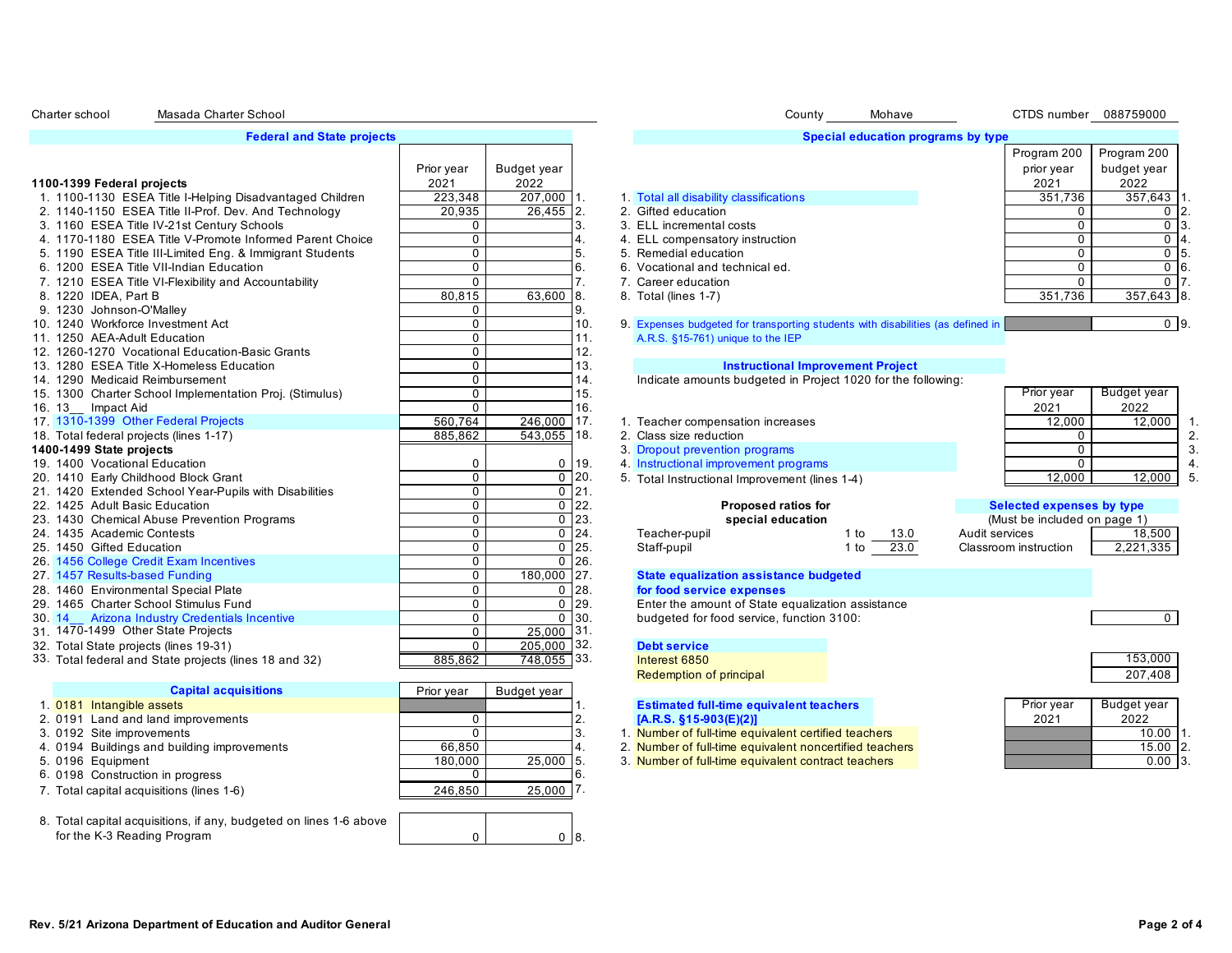| . |                                   |
|---|-----------------------------------|
|   |                                   |
|   |                                   |
|   | <b>Federal and State projects</b> |
|   |                                   |

Masada Charter School

|                                                          | Prior year   | Budget year   |           |                                                                                 |           |                | prior year                   | budget year    |                |
|----------------------------------------------------------|--------------|---------------|-----------|---------------------------------------------------------------------------------|-----------|----------------|------------------------------|----------------|----------------|
| 1100-1399 Federal projects                               | 2021         | 2022          |           |                                                                                 |           |                | 2021                         | 2022           |                |
| 1. 1100-1130 ESEA Title I-Helping Disadvantaged Children | 223.348      | 207,000 1.    |           | 1. Total all disability classifications                                         |           |                | 351.736                      | 357,643        |                |
| 2. 1140-1150 ESEA Title II-Prof. Dev. And Technology     | 20,935       | 26,455 2      |           | 2. Gifted education                                                             |           |                | $\Omega$                     | 0              |                |
| 3. 1160 ESEA Title IV-21st Century Schools               | $\Omega$     |               |           | 3. ELL incremental costs                                                        |           |                |                              | $\mathbf 0$    |                |
| 4. 1170-1180 ESEA Title V-Promote Informed Parent Choice | 0            |               |           | 4. ELL compensatory instruction                                                 |           |                |                              | $\mathbf 0$    |                |
| 5. 1190 ESEA Title III-Limited Eng. & Immigrant Students | $\Omega$     |               |           | 5. Remedial education                                                           |           |                |                              | $\Omega$       |                |
| 6. 1200 ESEA Title VII-Indian Education                  | $\mathbf 0$  |               | 6         | 6. Vocational and technical ed.                                                 |           |                |                              | 0 <sub>6</sub> |                |
| 7. 1210 ESEA Title VI-Flexibility and Accountability     | $\Omega$     |               |           | 7. Career education                                                             |           |                | $\Omega$                     | $\Omega$       |                |
| 8. 1220 IDEA, Part B                                     | 80,815       | 63,600 8.     |           | 8. Total (lines 1-7)                                                            |           |                | 351.736                      | 357,643 8      |                |
| 9. 1230 Johnson-O'Malley                                 | 0            |               |           |                                                                                 |           |                |                              |                |                |
| 10. 1240 Workforce Investment Act                        | 0            |               | 10.       | 9. Expenses budgeted for transporting students with disabilities (as defined in |           |                |                              | 0 <sup>9</sup> |                |
| 11. 1250 AEA-Adult Education                             | $\Omega$     |               |           | A.R.S. §15-761) unique to the IEP                                               |           |                |                              |                |                |
| 12. 1260-1270 Vocational Education-Basic Grants          | $\Omega$     |               | 12.       |                                                                                 |           |                |                              |                |                |
| 13. 1280 ESEA Title X-Homeless Education                 | $\mathbf{0}$ |               | 13.       | <b>Instructional Improvement Project</b>                                        |           |                |                              |                |                |
| 14. 1290 Medicaid Reimbursement                          | $\Omega$     |               | 14.       | Indicate amounts budgeted in Project 1020 for the following:                    |           |                |                              |                |                |
| 15. 1300 Charter School Implementation Proj. (Stimulus)  | $\mathbf 0$  |               | 15.       |                                                                                 |           |                | Prior year                   | Budget year    |                |
| 16. 13 Impact Aid                                        | $\Omega$     |               | 16.       |                                                                                 |           |                | 2021                         | 2022           |                |
| 17 1310-1399 Other Federal Projects                      | 560.764      | $246,000$ 17. |           | 1. Teacher compensation increases                                               |           |                | 12,000                       | 12,000         |                |
| 18. Total federal projects (lines 1-17)                  | 885,862      | 543,055 18.   |           | 2. Class size reduction                                                         |           |                |                              |                | $\overline{2}$ |
| 1400-1499 State projects                                 |              |               |           | 3. Dropout prevention programs                                                  |           |                |                              |                |                |
| 19. 1400 Vocational Education                            | 0            | 0             | 19.       | 4. Instructional improvement programs                                           |           |                | $\Omega$                     |                |                |
| 20. 1410 Early Childhood Block Grant                     | $\mathbf 0$  |               | $0$ 20.   | 5. Total Instructional Improvement (lines 1-4)                                  |           |                | 12,000                       | 12,000         |                |
| 21. 1420 Extended School Year-Pupils with Disabilities   | $\mathbf 0$  |               | $0$   21. |                                                                                 |           |                |                              |                |                |
| 22. 1425 Adult Basic Education                           | $\mathbf 0$  | $\mathbf 0$   | 122.      | Proposed ratios for                                                             |           |                | Selected expenses by type    |                |                |
| 23. 1430 Chemical Abuse Prevention Programs              | 0            | $\mathbf 0$   | 123.      | special education                                                               |           |                | (Must be included on page 1) |                |                |
| 24. 1435 Academic Contests                               | $\mathbf{0}$ | $\Omega$      | 24        | Teacher-pupil                                                                   | 1 to 13.0 | Audit services |                              | 18,500         |                |
| 25. 1450 Gifted Education                                | $\Omega$     | $\mathbf 0$   | 25.       | Staff-pupil                                                                     | 1 to 23.0 |                | Classroom instruction        | 2,221,335      |                |
| 26. 1456 College Credit Exam Incentives                  | $\mathbf 0$  | $\Omega$      | 26.       |                                                                                 |           |                |                              |                |                |
| 27. 1457 Results-based Funding                           | $\mathbf 0$  | 180,000 27.   |           | State equalization assistance budgeted                                          |           |                |                              |                |                |
| 28. 1460 Environmental Special Plate                     | $\Omega$     | $\Omega$      | 28.       | for food service expenses                                                       |           |                |                              |                |                |
| 29. 1465 Charter School Stimulus Fund                    | $\Omega$     | $\Omega$      | 29.       | Enter the amount of State equalization assistance                               |           |                |                              |                |                |
| 30. 14 Arizona Industry Credentials Incentive            | $\mathbf 0$  |               | $0$ 30.   | budgeted for food service, function 3100:                                       |           |                |                              | $\Omega$       |                |
| 31. 1470-1499 Other State Projects                       | $\mathbf 0$  | 25.000 31.    |           |                                                                                 |           |                |                              |                |                |
| 32. Total State projects (lines 19-31)                   | $\Omega$     | 205,000 32.   |           | <b>Debt service</b>                                                             |           |                |                              |                |                |
| 33. Total federal and State projects (lines 18 and 32)   | 885,862      | 748,055 33.   |           | Interest 6850                                                                   |           |                |                              | 153,000        |                |

| <b>Capital acquisitions</b>                                        | Prior year | Budget year |     |
|--------------------------------------------------------------------|------------|-------------|-----|
| 1. 0181 Intangible assets                                          |            |             | .1  |
| 2. 0191 Land and land improvements                                 |            |             | 2.  |
| 3. 0192 Site improvements                                          |            |             | 3.  |
| 4. 0194 Buildings and building improvements                        | 66,850     |             | 14. |
| 5. 0196 Equipment                                                  | 180,000    | 25.000      | 15. |
| 6. 0198 Construction in progress                                   |            |             | I6. |
| 7. Total capital acquisitions (lines 1-6)                          | 246.850    | 25.000      | 7.  |
|                                                                    |            |             |     |
| 8. Total capital acquisitions, if any, budgeted on lines 1-6 above |            |             |     |
| for the K-3 Reading Program                                        | 0          |             | 18. |

Charter school Masada Charter School **County County** Mohave CTDS number 088759000

### **Special education programs by type**

|                                                          |            |              |                                        | Program 200 | Program 200  |      |
|----------------------------------------------------------|------------|--------------|----------------------------------------|-------------|--------------|------|
|                                                          | Prior year | Budget year  |                                        | prior year  | budget year  |      |
| 100-1399 Federal projects                                | 2021       | 2022         |                                        | 2021        | 2022         |      |
| 1. 1100-1130 ESEA Title I-Helping Disadvantaged Children | 223,348    | $207,000$ 1. | 1 Total all disability classifications | 351.736     | 357.643      |      |
| 2. 1140-1150 ESEA Title II-Prof. Dev. And Technology     | 20.935     | $26,455$ 2.  | 2. Gifted education                    |             |              |      |
| 3. 1160 ESEA Title IV-21st Century Schools               |            |              | 3. ELL incremental costs               |             |              |      |
| 4. 1170-1180 ESEA Title V-Promote Informed Parent Choice |            |              | 4. ELL compensatory instruction        |             |              |      |
| 5. 1190 ESEA Title III-Limited Eng. & Immigrant Students |            |              | 5. Remedial education                  |             |              |      |
| 6. 1200 ESEA Title VII-Indian Education                  |            |              | 6. Vocational and technical ed.        |             |              | ) 16 |
| 7. 1210 ESEA Title VI-Flexibility and Accountability     |            |              | 7. Career education                    |             |              |      |
| 8. 1220 IDEA, Part B                                     | 80.815     | 63.600 8.    | 8. Total (lines 1-7)                   | 351,736     | $357,643$ 8. |      |
| 9. 1230 Johnson-O'Malley                                 |            |              |                                        |             |              |      |
|                                                          |            |              |                                        |             |              |      |

#### 13. **1280 ESEA Title X-Homeless Education Improvement Project**

- $\frac{1}{17}$ . 1. Teacher compensation increases<br>55 18. 2. Class size reduction
	-
	-
- 1400 **1400 State projects** 3. Dropout prevention programs 0 19.
	- 20. 12,000 E. Total Instructional Improvement (lines 1-4) 12,000 12,000 12,000 12,000 5.

| 0               | 19. | 4 Instructional improvement programs              |              |                |
|-----------------|-----|---------------------------------------------------|--------------|----------------|
| 0               | 20. | 5. Total Instructional Improvement (lines 1-4)    |              |                |
| 0               | 21. |                                                   |              |                |
| 0               | 22. | <b>Proposed ratios for</b>                        |              | <b>Selecte</b> |
| $\Omega$        | 23. | special education                                 |              | (Must b        |
| $\Omega$        | 24. | Teacher-pupil                                     | 13.0<br>1 to | Audit service  |
| $\Omega$        | 25. | Staff-pupil                                       | 23.0<br>1 to | Classroom in   |
|                 | 26. |                                                   |              |                |
| 000             | 27. | State equalization assistance budgeted            |              |                |
| 0               | 28. | for food service expenses                         |              |                |
| $\Omega$        | 29. | Enter the amount of State equalization assistance |              |                |
| $\Omega$        | 30. | budgeted for food service, function 3100:         |              |                |
| 00              | 31. |                                                   |              |                |
| $\overline{00}$ | 32. | <b>Debt service</b>                               |              |                |
| $\overline{55}$ | 33. | Interest 6850                                     |              |                |

| Budget year | Prior year |
|-------------|------------|
| 2022        | 2021       |
| 12.000      | 12.000     |
|             |            |
|             |            |
|             |            |
| $\sim$      | 0.000      |

| <b>Proposed ratios for</b> |      |      | Selected expenses by type    |          |
|----------------------------|------|------|------------------------------|----------|
| special education          |      |      | (Must be included on page 1) |          |
| ٦il                        | 1 to | 13.0 | Audit services               | 18.50    |
|                            | 1 to | 23.0 | Classroom instruction        | 2,221,33 |
|                            |      |      |                              |          |
| .                          |      |      |                              |          |

# **State equalization assistance budgeted**

# **Debt service**

| Interest 6850           | 153.000 |
|-------------------------|---------|
| Redemption of principal | 207.408 |

### 1. 0181 Intangible assets 1. **Estimated full-time equivalent teachers**  2. 0191 Land and land improvements 0 2. **[A.R.S. §15-903(E)(2)]**

- 1. Number of full-time equivalent certified teachers
- 2. Number of full-time equivalent noncertified teachers
- 3. Number of full-time equivalent contract teachers

| Prior year | Budget year |                 |
|------------|-------------|-----------------|
| 2021       | 2022        |                 |
|            | $10.00$ 1.  |                 |
|            | 15.00       | 12 <sub>1</sub> |
|            | 0.00        |                 |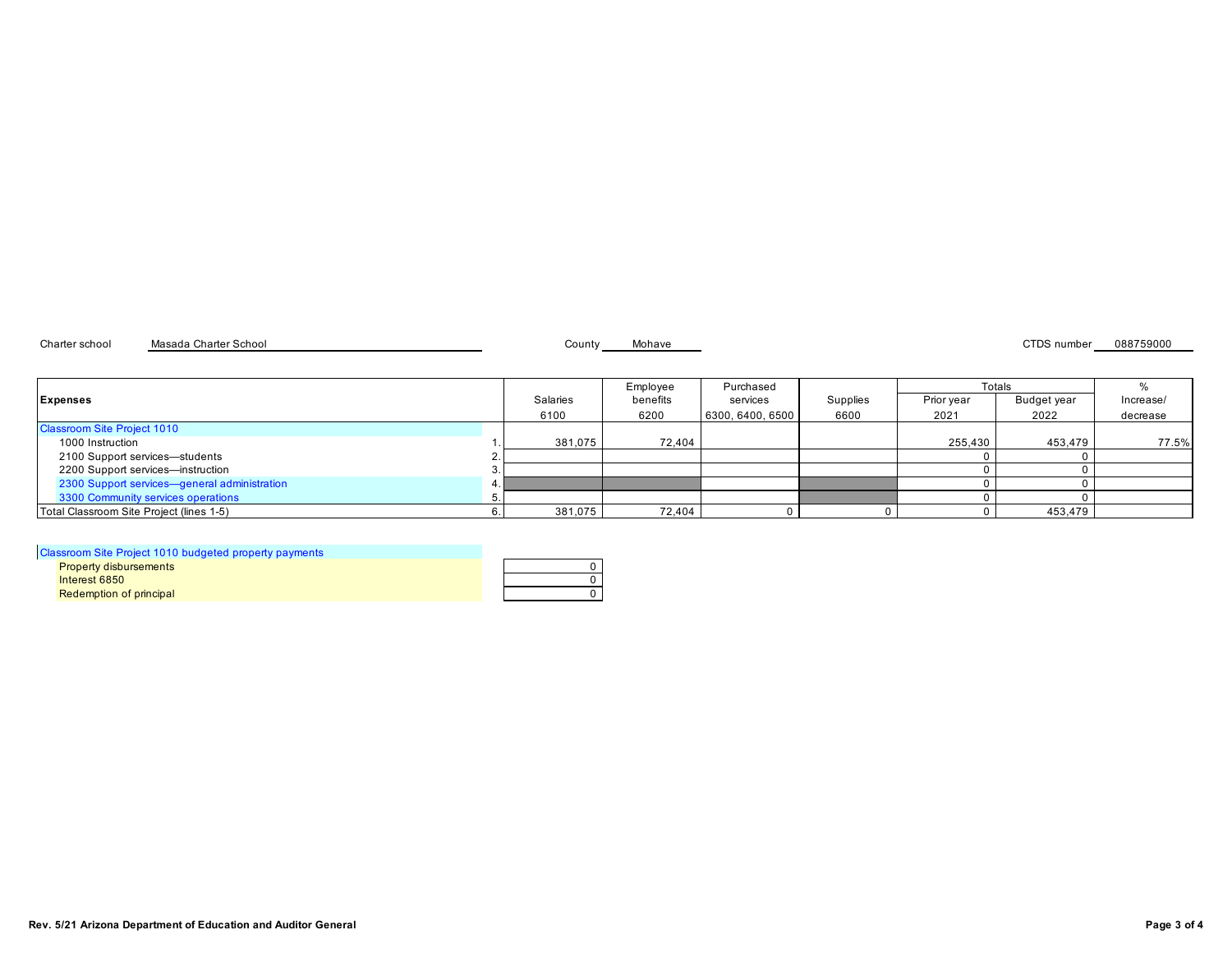Charter school Masada Charter School County County Mohave County Mohave CTDS number 088759000

|                                              |          | Employee | Purchased        |          | Totals     |             |           |
|----------------------------------------------|----------|----------|------------------|----------|------------|-------------|-----------|
| <b>Expenses</b>                              | Salaries | benefits | services         | Supplies | Prior year | Budget year | Increase/ |
|                                              | 6100     | 6200     | 6300, 6400, 6500 | 6600     | 2021       | 2022        | decrease  |
| <b>Classroom Site Project 1010</b>           |          |          |                  |          |            |             |           |
| 1000 Instruction                             | 381.075  | 72.404   |                  |          | 255.430    | 453.479     | 77.5%     |
| 2100 Support services-students               |          |          |                  |          |            |             |           |
| 2200 Support services-instruction            |          |          |                  |          |            |             |           |
| 2300 Support services-general administration |          |          |                  |          |            |             |           |
| 3300 Community services operations           |          |          |                  |          |            |             |           |
| Total Classroom Site Project (lines 1-5)     | 381,075  | 72,404   |                  |          |            | 453,479     |           |

| Classroom Site Project 1010 budgeted property payments |  |
|--------------------------------------------------------|--|
| <b>Property disbursements</b>                          |  |
| Interest 6850                                          |  |
| Redemption of principal                                |  |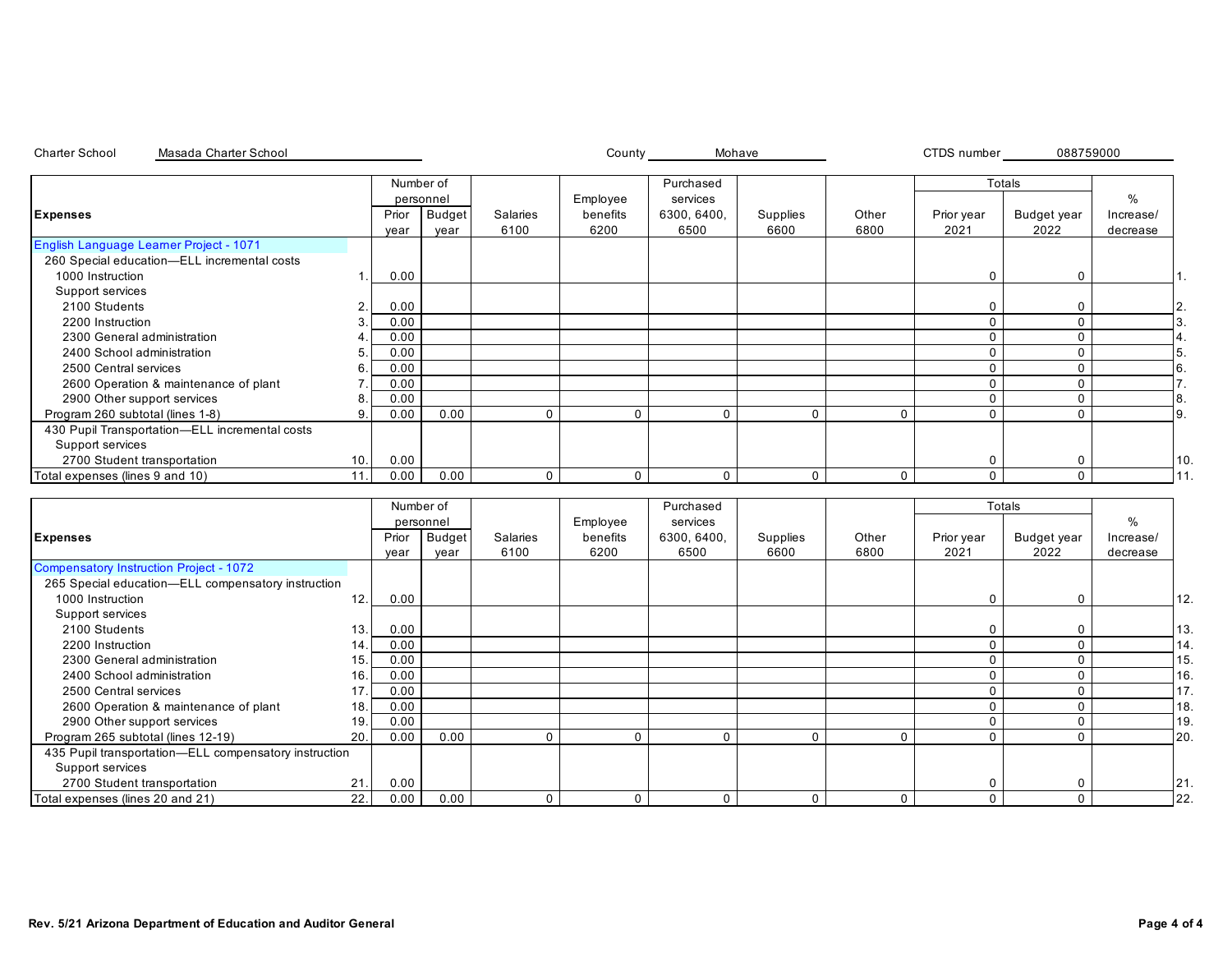| <b>Charter School</b><br>Masada Charter School        |                |                        |                       |                         | County_                      |                       | Mohave           |               | CTDS number        | 088759000           |                       |
|-------------------------------------------------------|----------------|------------------------|-----------------------|-------------------------|------------------------------|-----------------------|------------------|---------------|--------------------|---------------------|-----------------------|
|                                                       |                | Number of<br>personnel |                       |                         |                              | Purchased<br>services |                  |               |                    | Totals              | $\frac{0}{0}$         |
| <b>Expenses</b>                                       |                | Prior<br>year          | <b>Budget</b><br>year | <b>Salaries</b><br>6100 | Employee<br>benefits<br>6200 | 6300, 6400,<br>6500   | Supplies<br>6600 | Other<br>6800 | Prior year<br>2021 | Budget year<br>2022 | Increase/<br>decrease |
| English Language Learner Project - 1071               |                |                        |                       |                         |                              |                       |                  |               |                    |                     |                       |
| 260 Special education-ELL incremental costs           |                |                        |                       |                         |                              |                       |                  |               |                    |                     |                       |
| 1000 Instruction                                      | 1              | 0.00                   |                       |                         |                              |                       |                  |               | 0                  | $\mathbf 0$         |                       |
| Support services                                      |                |                        |                       |                         |                              |                       |                  |               |                    |                     |                       |
| 2100 Students                                         | $\mathbf{2}$   | 0.00                   |                       |                         |                              |                       |                  |               | 0                  | 0                   |                       |
| 2200 Instruction                                      | 3              | 0.00                   |                       |                         |                              |                       |                  |               | $\Omega$           | $\mathbf{0}$        |                       |
| 2300 General administration                           |                | 0.00                   |                       |                         |                              |                       |                  |               | $\Omega$           | $\Omega$            |                       |
| 2400 School administration                            | 5              | 0.00                   |                       |                         |                              |                       |                  |               | $\Omega$           | $\mathbf 0$         |                       |
| 2500 Central services                                 | 6              | 0.00                   |                       |                         |                              |                       |                  |               | $\Omega$           | $\mathbf 0$         |                       |
| 2600 Operation & maintenance of plant                 | $\overline{7}$ | 0.00                   |                       |                         |                              |                       |                  |               | $\Omega$           | $\mathbf{0}$        |                       |
| 2900 Other support services                           | 8              | 0.00                   |                       |                         |                              |                       |                  |               | $\Omega$           | $\mathbf 0$         | 8.                    |
| Program 260 subtotal (lines 1-8)                      |                | 0.00                   | 0.00                  | $\mathbf 0$             | $\mathbf{0}$                 | $\Omega$              | $\mathbf 0$      | $\Omega$      | $\Omega$           | $\Omega$            |                       |
| 430 Pupil Transportation-ELL incremental costs        |                |                        |                       |                         |                              |                       |                  |               |                    |                     |                       |
| Support services                                      |                |                        |                       |                         |                              |                       |                  |               |                    |                     |                       |
| 2700 Student transportation                           | 10.            | 0.00                   |                       |                         |                              |                       |                  |               | $\mathbf 0$        | $\mathbf 0$         |                       |
| Total expenses (lines 9 and 10)                       | 11.            | 0.00                   | 0.00                  | $\mathbf 0$             | $\mathbf 0$                  | $\mathbf{0}$          | $\mathbf 0$      | $\mathbf 0$   | $\Omega$           | $\mathbf 0$         |                       |
|                                                       |                |                        |                       |                         |                              |                       |                  |               |                    |                     |                       |
|                                                       |                |                        | Number of             |                         |                              | Purchased             |                  |               |                    | Totals              |                       |
|                                                       |                |                        | personnel             |                         | Employee<br>services         |                       |                  |               |                    |                     | $\frac{0}{0}$         |
| <b>Expenses</b>                                       |                | Prior                  | <b>Budget</b>         | Salaries                | benefits                     | 6300, 6400,           | Supplies         | Other         | Prior year         | <b>Budget year</b>  | Increase/             |
|                                                       |                | year                   | year                  | 6100                    | 6200                         | 6500                  | 6600             | 6800          | 2021               | 2022                | decrease              |
| <b>Compensatory Instruction Project - 1072</b>        |                |                        |                       |                         |                              |                       |                  |               |                    |                     |                       |
| 265 Special education-ELL compensatory instruction    |                |                        |                       |                         |                              |                       |                  |               |                    |                     |                       |
| 1000 Instruction                                      | 12.            | 0.00                   |                       |                         |                              |                       |                  |               | $\Omega$           | $\Omega$            |                       |
| Support services                                      |                |                        |                       |                         |                              |                       |                  |               |                    |                     |                       |
| 2100 Students                                         | 13.            | 0.00                   |                       |                         |                              |                       |                  |               | 0                  | $\mathbf 0$         |                       |
| 2200 Instruction                                      | 14.            | 0.00                   |                       |                         |                              |                       |                  |               | $\mathbf{0}$       | $\mathbf 0$         |                       |
| 2300 General administration                           | 15.            | 0.00                   |                       |                         |                              |                       |                  |               | $\Omega$           | $\Omega$            |                       |
| 2400 School administration                            | 16.            | 0.00                   |                       |                         |                              |                       |                  |               | $\mathbf 0$        | $\mathbf 0$         |                       |
| 2500 Central services                                 | 17             | 0.00                   |                       |                         |                              |                       |                  |               | $\mathbf{0}$       | $\mathbf{0}$        |                       |
| 2600 Operation & maintenance of plant                 | 18.            | 0.00                   |                       |                         |                              |                       |                  |               | $\Omega$           | $\mathbf 0$         |                       |
| 2900 Other support services                           | 19             | 0.00                   |                       |                         |                              |                       |                  |               | $\Omega$           | $\Omega$            |                       |
| Program 265 subtotal (lines 12-19)                    | 20.            | 0.00                   | 0.00                  | $\mathbf 0$             | $\Omega$                     | $\Omega$              | $\mathbf 0$      | $\Omega$      | $\Omega$           | $\mathbf 0$         |                       |
| 435 Pupil transportation-ELL compensatory instruction |                |                        |                       |                         |                              |                       |                  |               |                    |                     |                       |
| Support services                                      |                |                        |                       |                         |                              |                       |                  |               |                    |                     |                       |
| 2700 Student transportation                           | 21.            | 0.00                   |                       |                         |                              |                       |                  |               | $\Omega$           | $\mathbf 0$         |                       |
| Total expenses (lines 20 and 21)                      | 22.            | 0.00                   | 0.00                  | $\Omega$                | $\Omega$                     | $\Omega$              | $\mathbf{0}$     | $\Omega$      | $\Omega$           | $\Omega$            |                       |

Total expenses (lines 20 and 21) 22. 0.00 0.00 0 0 0 0 0 0 0 22.